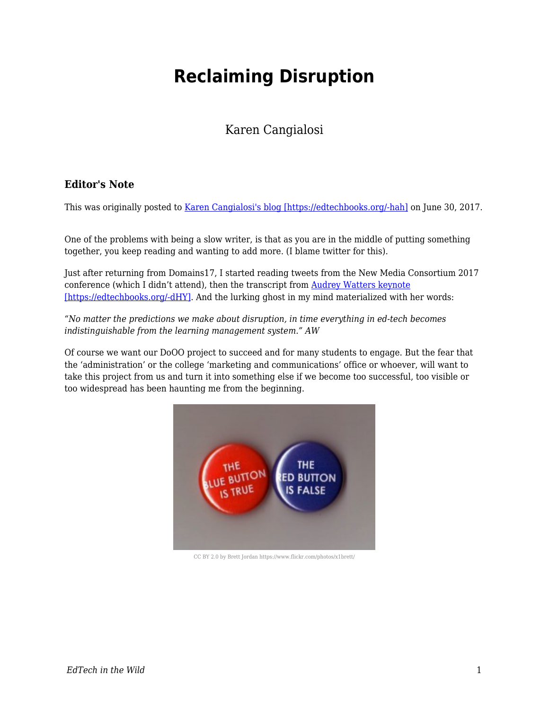# **Reclaiming Disruption**

# Karen Cangialosi

## **Editor's Note**

This was originally posted to [Karen Cangialosi's blog \[https://edtechbooks.org/-hah\]](https://karencang.net/teaching/reclaiming-disruption/) on June 30, 2017.

One of the problems with being a slow writer, is that as you are in the middle of putting something together, you keep reading and wanting to add more. (I blame twitter for this).

Just after returning from Domains17, I started reading tweets from the New Media Consortium 2017 conference (which I didn't attend), then the transcript from [Audrey Watters keynote](http://hackeducation.com/2017/06/15/robots-raising-children) [\[https://edtechbooks.org/-dHY\].](http://hackeducation.com/2017/06/15/robots-raising-children) And the lurking ghost in my mind materialized with her words:

*"No matter the predictions we make about disruption, in time everything in ed-tech becomes indistinguishable from the learning management system." AW*

Of course we want our DoOO project to succeed and for many students to engage. But the fear that the 'administration' or the college 'marketing and communications' office or whoever, will want to take this project from us and turn it into something else if we become too successful, too visible or too widespread has been haunting me from the beginning.



CC BY 2.0 by Brett Jordan https://www.flickr.com/photos/x1brett/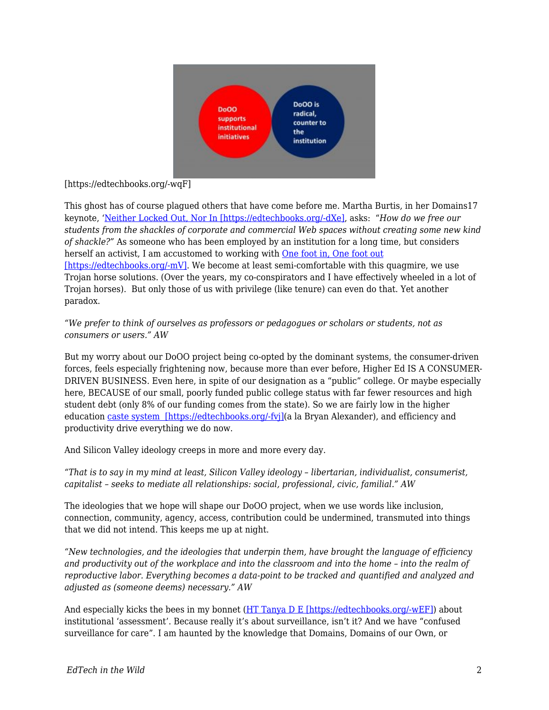

#### [https://edtechbooks.org/-wqF]

paradox.

This ghost has of course plagued others that have come before me. Martha Burtis, in her Domains17 keynote, '[Neither Locked Out, Nor In \[https://edtechbooks.org/-dXe\]](http://wrapping.marthaburtis.net/2017/06/05/locked-in-out/), asks: "*How do we free our students from the shackles of corporate and commercial Web spaces without creating some new kind of shackle?"* As someone who has been employed by an institution for a long time, but considers herself an activist, I am accustomed to working with [One foot in, One foot out](https://karencang.net/open-education/one-foot-in-one-foot-out/)  $[https://edtechbooks.org/~mV]$ . We become at least semi-comfortable with this quagmire, we use Trojan horse solutions. (Over the years, my co-conspirators and I have effectively wheeled in a lot of Trojan horses). But only those of us with privilege (like tenure) can even do that. Yet another

### *"We prefer to think of ourselves as professors or pedagogues or scholars or students, not as consumers or users." AW*

But my worry about our DoOO project being co-opted by the dominant systems, the consumer-driven forces, feels especially frightening now, because more than ever before, Higher Ed IS A CONSUMER-DRIVEN BUSINESS. Even here, in spite of our designation as a "public" college. Or maybe especially here, BECAUSE of our small, poorly funded public college status with far fewer resources and high student debt (only 8% of our funding comes from the state). So we are fairly low in the higher education [caste system \[https://edtechbooks.org/-fvj\]\(](https://bryanalexander.org/2017/06/18/building-an-american-caste-system-part-1-rural-folk/)a la Bryan Alexander), and efficiency and productivity drive everything we do now.

And Silicon Valley ideology creeps in more and more every day.

*"That is to say in my mind at least, Silicon Valley ideology – libertarian, individualist, consumerist, capitalist – seeks to mediate all relationships: social, professional, civic, familial." AW*

The ideologies that we hope will shape our DoOO project, when we use words like inclusion, connection, community, agency, access, contribution could be undermined, transmuted into things that we did not intend. This keeps me up at night.

*"New technologies, and the ideologies that underpin them, have brought the language of efficiency and productivity out of the workplace and into the classroom and into the home – into the realm of reproductive labor. Everything becomes a data-point to be tracked and quantified and analyzed and adjusted as (someone deems) necessary." AW*

And especially kicks the bees in my bonnet ([HT Tanya D E \[https://edtechbooks.org/-wEF\]](http://heretothere.trubox.ca/noticing-feeling-bees/)) about institutional 'assessment'. Because really it's about surveillance, isn't it? And we have "confused surveillance for care". I am haunted by the knowledge that Domains, Domains of our Own, or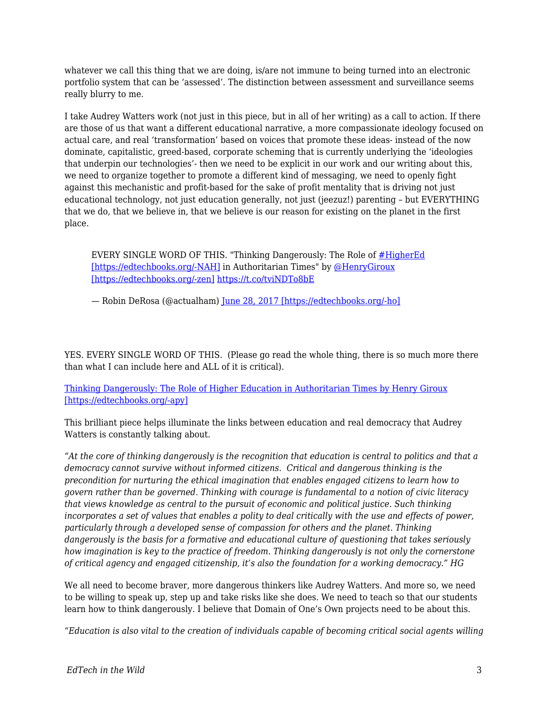whatever we call this thing that we are doing, is/are not immune to being turned into an electronic portfolio system that can be 'assessed'. The distinction between assessment and surveillance seems really blurry to me.

I take Audrey Watters work (not just in this piece, but in all of her writing) as a call to action. If there are those of us that want a different educational narrative, a more compassionate ideology focused on actual care, and real 'transformation' based on voices that promote these ideas- instead of the now dominate, capitalistic, greed-based, corporate scheming that is currently underlying the 'ideologies that underpin our technologies'- then we need to be explicit in our work and our writing about this, we need to organize together to promote a different kind of messaging, we need to openly fight against this mechanistic and profit-based for the sake of profit mentality that is driving not just educational technology, not just education generally, not just (jeezuz!) parenting – but EVERYTHING that we do, that we believe in, that we believe is our reason for existing on the planet in the first place.

EVERY SINGLE WORD OF THIS. "Thinking Dangerously: The Role of [#HigherEd](https://twitter.com/hashtag/HigherEd?src=hash&ref_src=twsrc%5Etfw) [\[https://edtechbooks.org/-NAH\]](https://twitter.com/hashtag/HigherEd?src=hash&ref_src=twsrc%5Etfw) in Authoritarian Times" by [@HenryGiroux](https://twitter.com/HenryGiroux?ref_src=twsrc%5Etfw) [\[https://edtechbooks.org/-zen\]](https://twitter.com/HenryGiroux?ref_src=twsrc%5Etfw) <https://t.co/tviNDTo8bE>

— Robin DeRosa (@actualham) [June 28, 2017 \[https://edtechbooks.org/-ho\]](https://twitter.com/actualham/status/879885842369654790?ref_src=twsrc%5Etfw)

YES. EVERY SINGLE WORD OF THIS. (Please go read the whole thing, there is so much more there than what I can include here and ALL of it is critical).

[Thinking Dangerously: The Role of Higher Education in Authoritarian Times by Henry Giroux](http://www.truth-out.org/opinion/item/41058-thinking-dangerously-the-role-of-higher-education-in-authoritarian-times) [\[https://edtechbooks.org/-apy\]](http://www.truth-out.org/opinion/item/41058-thinking-dangerously-the-role-of-higher-education-in-authoritarian-times)

This brilliant piece helps illuminate the links between education and real democracy that Audrey Watters is constantly talking about.

*"At the core of thinking dangerously is the recognition that education is central to politics and that a democracy cannot survive without informed citizens. Critical and dangerous thinking is the precondition for nurturing the ethical imagination that enables engaged citizens to learn how to govern rather than be governed. Thinking with courage is fundamental to a notion of civic literacy that views knowledge as central to the pursuit of economic and political justice. Such thinking incorporates a set of values that enables a polity to deal critically with the use and effects of power, particularly through a developed sense of compassion for others and the planet. Thinking dangerously is the basis for a formative and educational culture of questioning that takes seriously how imagination is key to the practice of freedom. Thinking dangerously is not only the cornerstone of critical agency and engaged citizenship, it's also the foundation for a working democracy." HG*

We all need to become braver, more dangerous thinkers like Audrey Watters. And more so, we need to be willing to speak up, step up and take risks like she does. We need to teach so that our students learn how to think dangerously. I believe that Domain of One's Own projects need to be about this.

*"Education is also vital to the creation of individuals capable of becoming critical social agents willing*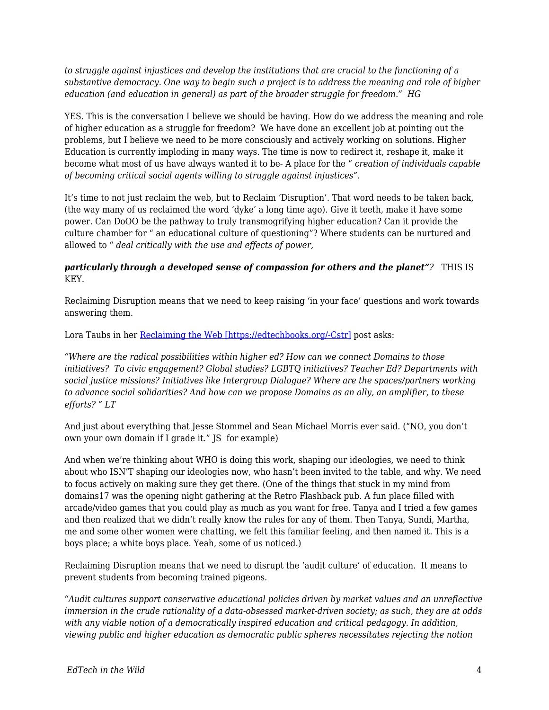*to struggle against injustices and develop the institutions that are crucial to the functioning of a substantive democracy. One way to begin such a project is to address the meaning and role of higher education (and education in general) as part of the broader struggle for freedom." HG* 

YES. This is the conversation I believe we should be having. How do we address the meaning and role of higher education as a struggle for freedom? We have done an excellent job at pointing out the problems, but I believe we need to be more consciously and actively working on solutions. Higher Education is currently imploding in many ways. The time is now to redirect it, reshape it, make it become what most of us have always wanted it to be- A place for the " *creation of individuals capable of becoming critical social agents willing to struggle against injustices".*

It's time to not just reclaim the web, but to Reclaim 'Disruption'. That word needs to be taken back, (the way many of us reclaimed the word 'dyke' a long time ago). Give it teeth, make it have some power. Can DoOO be the pathway to truly transmogrifying higher education? Can it provide the culture chamber for " an educational culture of questioning"? Where students can be nurtured and allowed to " *deal critically with the use and effects of power,*

#### *particularly through a developed sense of compassion for others and the planet"?* THIS IS KEY.

Reclaiming Disruption means that we need to keep raising 'in your face' questions and work towards answering them.

Lora Taubs in her [Reclaiming the Web \[https://edtechbooks.org/-Cstr\]](http://lorataub.com/uncategorized/reclaiming-web-domains-2017/) post asks:

*"Where are the radical possibilities within higher ed? How can we connect Domains to those initiatives? To civic engagement? Global studies? LGBTQ initiatives? Teacher Ed? Departments with social justice missions? Initiatives like Intergroup Dialogue? Where are the spaces/partners working to advance social solidarities? And how can we propose Domains as an ally, an amplifier, to these efforts? " LT*

And just about everything that Jesse Stommel and Sean Michael Morris ever said. ("NO, you don't own your own domain if I grade it." JS for example)

And when we're thinking about WHO is doing this work, shaping our ideologies, we need to think about who ISN'T shaping our ideologies now, who hasn't been invited to the table, and why. We need to focus actively on making sure they get there. (One of the things that stuck in my mind from domains17 was the opening night gathering at the Retro Flashback pub. A fun place filled with arcade/video games that you could play as much as you want for free. Tanya and I tried a few games and then realized that we didn't really know the rules for any of them. Then Tanya, Sundi, Martha, me and some other women were chatting, we felt this familiar feeling, and then named it. This is a boys place; a white boys place. Yeah, some of us noticed.)

Reclaiming Disruption means that we need to disrupt the 'audit culture' of education. It means to prevent students from becoming trained pigeons.

*"Audit cultures support conservative educational policies driven by market values and an unreflective immersion in the crude rationality of a data-obsessed market-driven society; as such, they are at odds with any viable notion of a democratically inspired education and critical pedagogy. In addition, viewing public and higher education as democratic public spheres necessitates rejecting the notion*